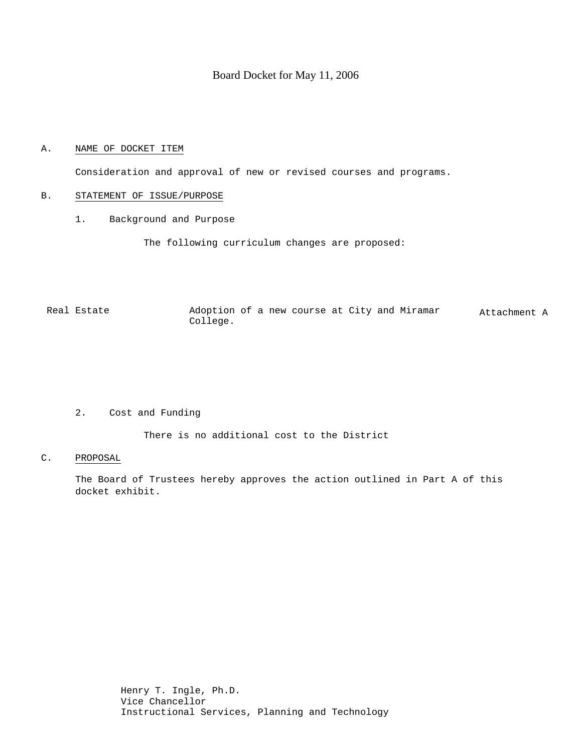## Board Docket for May 11, 2006

# A. NAME OF DOCKET ITEM

Consideration and approval of new or revised courses and programs.

### B. STATEMENT OF ISSUE/PURPOSE

1. Background and Purpose

The following curriculum changes are proposed:

Real Estate  $\qquad \qquad$  Adoption of a new course at City and Miramar College. Attachment A

## 2. Cost and Funding

There is no additional cost to the District

#### C. PROPOSAL

The Board of Trustees hereby approves the action outlined in Part A of this docket exhibit.

> Henry T. Ingle, Ph.D. Vice Chancellor Instructional Services, Planning and Technology